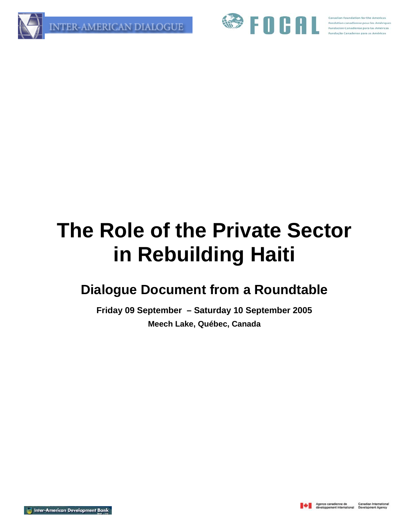



# **The Role of the Private Sector in Rebuilding Haiti**

# **Dialogue Document from a Roundtable**

**Friday 09 September – Saturday 10 September 2005 Meech Lake, Québec, Canada**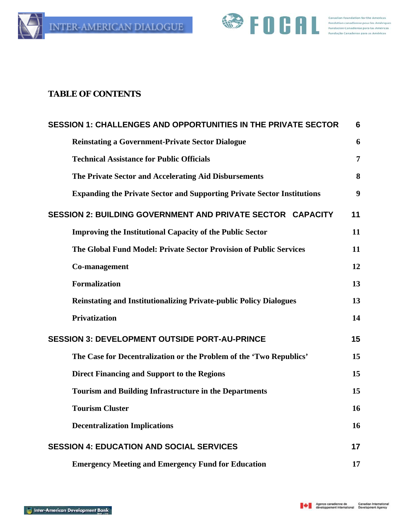



#### **TABLE OF CONTENTS**

| <b>SESSION 1: CHALLENGES AND OPPORTUNITIES IN THE PRIVATE SECTOR</b>           | 6              |
|--------------------------------------------------------------------------------|----------------|
| <b>Reinstating a Government-Private Sector Dialogue</b>                        | 6              |
| <b>Technical Assistance for Public Officials</b>                               | $\overline{7}$ |
| The Private Sector and Accelerating Aid Disbursements                          | 8              |
| <b>Expanding the Private Sector and Supporting Private Sector Institutions</b> | 9              |
| SESSION 2: BUILDING GOVERNMENT AND PRIVATE SECTOR CAPACITY                     | 11             |
| <b>Improving the Institutional Capacity of the Public Sector</b>               | 11             |
| The Global Fund Model: Private Sector Provision of Public Services             | 11             |
| Co-management                                                                  | 12             |
| <b>Formalization</b>                                                           | 13             |
| <b>Reinstating and Institutionalizing Private-public Policy Dialogues</b>      | 13             |
| <b>Privatization</b>                                                           | 14             |
| <b>SESSION 3: DEVELOPMENT OUTSIDE PORT-AU-PRINCE</b>                           | 15             |
| The Case for Decentralization or the Problem of the 'Two Republics'            | 15             |
| <b>Direct Financing and Support to the Regions</b>                             | 15             |
| <b>Tourism and Building Infrastructure in the Departments</b>                  | 15             |
| <b>Tourism Cluster</b>                                                         | 16             |
| <b>Decentralization Implications</b>                                           | 16             |
| <b>SESSION 4: EDUCATION AND SOCIAL SERVICES</b>                                | 17             |
| <b>Emergency Meeting and Emergency Fund for Education</b>                      | 17             |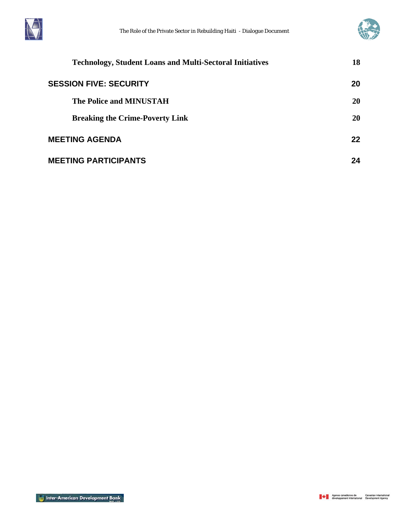



| <b>Technology, Student Loans and Multi-Sectoral Initiatives</b> | 18 |
|-----------------------------------------------------------------|----|
| <b>SESSION FIVE: SECURITY</b>                                   | 20 |
| <b>The Police and MINUSTAH</b>                                  | 20 |
| <b>Breaking the Crime-Poverty Link</b>                          | 20 |
| <b>MEETING AGENDA</b>                                           | 22 |
| <b>MEETING PARTICIPANTS</b>                                     | 24 |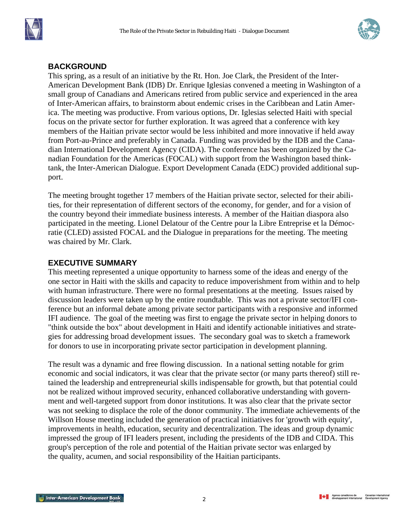



#### **BACKGROUND**

This spring, as a result of an initiative by the Rt. Hon. Joe Clark, the President of the Inter-American Development Bank (IDB) Dr. Enrique Iglesias convened a meeting in Washington of a small group of Canadians and Americans retired from public service and experienced in the area of Inter-American affairs, to brainstorm about endemic crises in the Caribbean and Latin America. The meeting was productive. From various options, Dr. Iglesias selected Haiti with special focus on the private sector for further exploration. It was agreed that a conference with key members of the Haitian private sector would be less inhibited and more innovative if held away from Port-au-Prince and preferably in Canada. Funding was provided by the IDB and the Canadian International Development Agency (CIDA). The conference has been organized by the Canadian Foundation for the Americas (FOCAL) with support from the Washington based thinktank, the Inter-American Dialogue. Export Development Canada (EDC) provided additional support.

The meeting brought together 17 members of the Haitian private sector, selected for their abilities, for their representation of different sectors of the economy, for gender, and for a vision of the country beyond their immediate business interests. A member of the Haitian diaspora also participated in the meeting. Lionel Delatour of the Centre pour la Libre Entreprise et la Démocratie (CLED) assisted FOCAL and the Dialogue in preparations for the meeting. The meeting was chaired by Mr. Clark.

#### **EXECUTIVE SUMMARY**

This meeting represented a unique opportunity to harness some of the ideas and energy of the one sector in Haiti with the skills and capacity to reduce impoverishment from within and to help with human infrastructure. There were no formal presentations at the meeting. Issues raised by discussion leaders were taken up by the entire roundtable. This was not a private sector/IFI conference but an informal debate among private sector participants with a responsive and informed IFI audience. The goal of the meeting was first to engage the private sector in helping donors to "think outside the box" about development in Haiti and identify actionable initiatives and strategies for addressing broad development issues. The secondary goal was to sketch a framework for donors to use in incorporating private sector participation in development planning.

The result was a dynamic and free flowing discussion. In a national setting notable for grim economic and social indicators, it was clear that the private sector (or many parts thereof) still retained the leadership and entrepreneurial skills indispensable for growth, but that potential could not be realized without improved security, enhanced collaborative understanding with government and well-targeted support from donor institutions. It was also clear that the private sector was not seeking to displace the role of the donor community. The immediate achievements of the Willson House meeting included the generation of practical initiatives for 'growth with equity', improvements in health, education, security and decentralization. The ideas and group dynamic impressed the group of IFI leaders present, including the presidents of the IDB and CIDA. This group's perception of the role and potential of the Haitian private sector was enlarged by the quality, acumen, and social responsibility of the Haitian participants.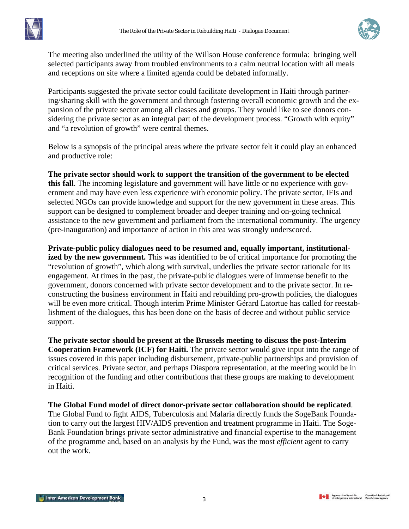

The meeting also underlined the utility of the Willson House conference formula: bringing well selected participants away from troubled environments to a calm neutral location with all meals and receptions on site where a limited agenda could be debated informally.

Participants suggested the private sector could facilitate development in Haiti through partnering/sharing skill with the government and through fostering overall economic growth and the expansion of the private sector among all classes and groups. They would like to see donors considering the private sector as an integral part of the development process. "Growth with equity" and "a revolution of growth" were central themes.

Below is a synopsis of the principal areas where the private sector felt it could play an enhanced and productive role:

**The private sector should work to support the transition of the government to be elected this fall**. The incoming legislature and government will have little or no experience with government and may have even less experience with economic policy. The private sector, IFIs and selected NGOs can provide knowledge and support for the new government in these areas. This support can be designed to complement broader and deeper training and on-going technical assistance to the new government and parliament from the international community. The urgency (pre-inauguration) and importance of action in this area was strongly underscored.

**Private-public policy dialogues need to be resumed and, equally important, institutionalized by the new government.** This was identified to be of critical importance for promoting the "revolution of growth", which along with survival, underlies the private sector rationale for its engagement. At times in the past, the private-public dialogues were of immense benefit to the government, donors concerned with private sector development and to the private sector. In reconstructing the business environment in Haiti and rebuilding pro-growth policies, the dialogues will be even more critical. Though interim Prime Minister Gérard Latortue has called for reestablishment of the dialogues, this has been done on the basis of decree and without public service support.

**The private sector should be present at the Brussels meeting to discuss the post-Interim Cooperation Framework (ICF) for Haiti.** The private sector would give input into the range of issues covered in this paper including disbursement, private-public partnerships and provision of critical services. Private sector, and perhaps Diaspora representation, at the meeting would be in recognition of the funding and other contributions that these groups are making to development in Haiti.

**The Global Fund model of direct donor-private sector collaboration should be replicated**. The Global Fund to fight AIDS, Tuberculosis and Malaria directly funds the SogeBank Foundation to carry out the largest HIV/AIDS prevention and treatment programme in Haiti. The Soge-Bank Foundation brings private sector administrative and financial expertise to the management of the programme and, based on an analysis by the Fund, was the most *efficient* agent to carry out the work.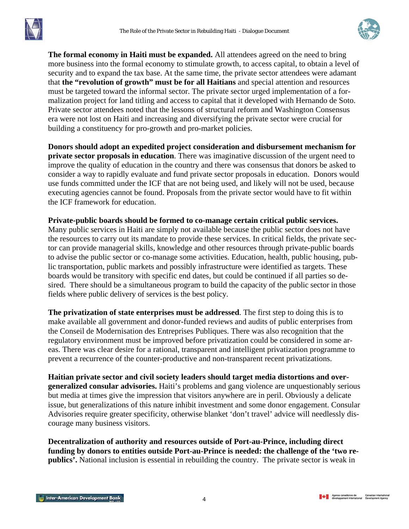

**The formal economy in Haiti must be expanded.** All attendees agreed on the need to bring more business into the formal economy to stimulate growth, to access capital, to obtain a level of security and to expand the tax base. At the same time, the private sector attendees were adamant that **the "revolution of growth" must be for all Haitians** and special attention and resources must be targeted toward the informal sector. The private sector urged implementation of a formalization project for land titling and access to capital that it developed with Hernando de Soto. Private sector attendees noted that the lessons of structural reform and Washington Consensus era were not lost on Haiti and increasing and diversifying the private sector were crucial for building a constituency for pro-growth and pro-market policies.

**Donors should adopt an expedited project consideration and disbursement mechanism for private sector proposals in education**. There was imaginative discussion of the urgent need to improve the quality of education in the country and there was consensus that donors be asked to consider a way to rapidly evaluate and fund private sector proposals in education. Donors would use funds committed under the ICF that are not being used, and likely will not be used, because executing agencies cannot be found. Proposals from the private sector would have to fit within the ICF framework for education.

**Private-public boards should be formed to co-manage certain critical public services.**  Many public services in Haiti are simply not available because the public sector does not have the resources to carry out its mandate to provide these services. In critical fields, the private sector can provide managerial skills, knowledge and other resources through private-public boards to advise the public sector or co-manage some activities. Education, health, public housing, public transportation, public markets and possibly infrastructure were identified as targets. These boards would be transitory with specific end dates, but could be continued if all parties so desired. There should be a simultaneous program to build the capacity of the public sector in those fields where public delivery of services is the best policy.

**The privatization of state enterprises must be addressed**. The first step to doing this is to make available all government and donor-funded reviews and audits of public enterprises from the Conseil de Modernisation des Entreprises Publiques. There was also recognition that the regulatory environment must be improved before privatization could be considered in some areas. There was clear desire for a rational, transparent and intelligent privatization programme to prevent a recurrence of the counter-productive and non-transparent recent privatizations.

**Haitian private sector and civil society leaders should target media distortions and overgeneralized consular advisories.** Haiti's problems and gang violence are unquestionably serious but media at times give the impression that visitors anywhere are in peril. Obviously a delicate issue, but generalizations of this nature inhibit investment and some donor engagement. Consular Advisories require greater specificity, otherwise blanket 'don't travel' advice will needlessly discourage many business visitors.

**Decentralization of authority and resources outside of Port-au-Prince, including direct funding by donors to entities outside Port-au-Prince is needed: the challenge of the 'two republics'.** National inclusion is essential in rebuilding the country. The private sector is weak in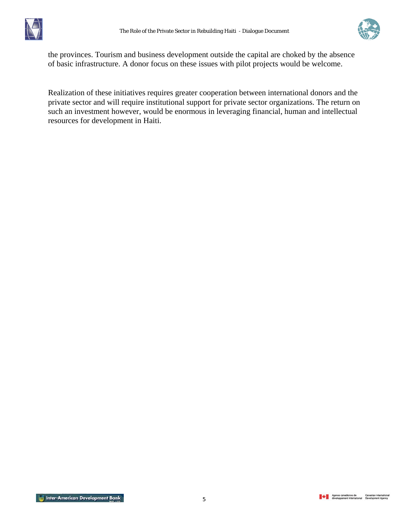



the provinces. Tourism and business development outside the capital are choked by the absence of basic infrastructure. A donor focus on these issues with pilot projects would be welcome.

Realization of these initiatives requires greater cooperation between international donors and the private sector and will require institutional support for private sector organizations. The return on such an investment however, would be enormous in leveraging financial, human and intellectual resources for development in Haiti.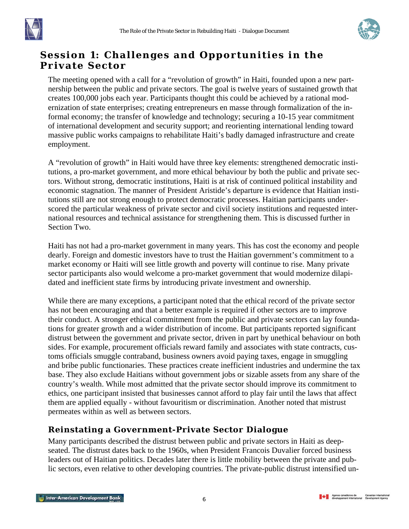<span id="page-7-0"></span>



## **Session 1: Challenges and Opportunities in the Private Sector**

The meeting opened with a call for a "revolution of growth" in Haiti, founded upon a new partnership between the public and private sectors. The goal is twelve years of sustained growth that creates 100,000 jobs each year. Participants thought this could be achieved by a rational modernization of state enterprises; creating entrepreneurs en masse through formalization of the informal economy; the transfer of knowledge and technology; securing a 10-15 year commitment of international development and security support; and reorienting international lending toward massive public works campaigns to rehabilitate Haiti's badly damaged infrastructure and create employment.

A "revolution of growth" in Haiti would have three key elements: strengthened democratic institutions, a pro-market government, and more ethical behaviour by both the public and private sectors. Without strong, democratic institutions, Haiti is at risk of continued political instability and economic stagnation. The manner of President Aristide's departure is evidence that Haitian institutions still are not strong enough to protect democratic processes. Haitian participants underscored the particular weakness of private sector and civil society institutions and requested international resources and technical assistance for strengthening them. This is discussed further in Section Two.

Haiti has not had a pro-market government in many years. This has cost the economy and people dearly. Foreign and domestic investors have to trust the Haitian government's commitment to a market economy or Haiti will see little growth and poverty will continue to rise. Many private sector participants also would welcome a pro-market government that would modernize dilapidated and inefficient state firms by introducing private investment and ownership.

While there are many exceptions, a participant noted that the ethical record of the private sector has not been encouraging and that a better example is required if other sectors are to improve their conduct. A stronger ethical commitment from the public and private sectors can lay foundations for greater growth and a wider distribution of income. But participants reported significant distrust between the government and private sector, driven in part by unethical behaviour on both sides. For example, procurement officials reward family and associates with state contracts, customs officials smuggle contraband, business owners avoid paying taxes, engage in smuggling and bribe public functionaries. These practices create inefficient industries and undermine the tax base. They also exclude Haitians without government jobs or sizable assets from any share of the country's wealth. While most admitted that the private sector should improve its commitment to ethics, one participant insisted that businesses cannot afford to play fair until the laws that affect them are applied equally - without favouritism or discrimination. Another noted that mistrust permeates within as well as between sectors.

#### **Reinstating a Government-Private Sector Dialogue**

Many participants described the distrust between public and private sectors in Haiti as deepseated. The distrust dates back to the 1960s, when President Francois Duvalier forced business leaders out of Haitian politics. Decades later there is little mobility between the private and public sectors, even relative to other developing countries. The private-public distrust intensified un-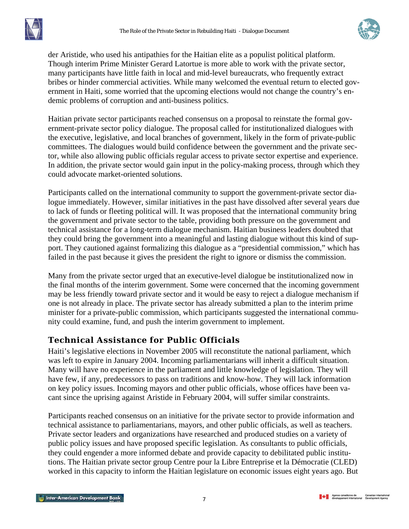

<span id="page-8-0"></span>der Aristide, who used his antipathies for the Haitian elite as a populist political platform. Though interim Prime Minister Gerard Latortue is more able to work with the private sector, many participants have little faith in local and mid-level bureaucrats, who frequently extract bribes or hinder commercial activities. While many welcomed the eventual return to elected government in Haiti, some worried that the upcoming elections would not change the country's endemic problems of corruption and anti-business politics.

Haitian private sector participants reached consensus on a proposal to reinstate the formal government-private sector policy dialogue. The proposal called for institutionalized dialogues with the executive, legislative, and local branches of government, likely in the form of private-public committees. The dialogues would build confidence between the government and the private sector, while also allowing public officials regular access to private sector expertise and experience. In addition, the private sector would gain input in the policy-making process, through which they could advocate market-oriented solutions.

Participants called on the international community to support the government-private sector dialogue immediately. However, similar initiatives in the past have dissolved after several years due to lack of funds or fleeting political will. It was proposed that the international community bring the government and private sector to the table, providing both pressure on the government and technical assistance for a long-term dialogue mechanism. Haitian business leaders doubted that they could bring the government into a meaningful and lasting dialogue without this kind of support. They cautioned against formalizing this dialogue as a "presidential commission," which has failed in the past because it gives the president the right to ignore or dismiss the commission.

Many from the private sector urged that an executive-level dialogue be institutionalized now in the final months of the interim government. Some were concerned that the incoming government may be less friendly toward private sector and it would be easy to reject a dialogue mechanism if one is not already in place. The private sector has already submitted a plan to the interim prime minister for a private-public commission, which participants suggested the international community could examine, fund, and push the interim government to implement.

## **Technical Assistance for Public Officials**

Haiti's legislative elections in November 2005 will reconstitute the national parliament, which was left to expire in January 2004. Incoming parliamentarians will inherit a difficult situation. Many will have no experience in the parliament and little knowledge of legislation. They will have few, if any, predecessors to pass on traditions and know-how. They will lack information on key policy issues. Incoming mayors and other public officials, whose offices have been vacant since the uprising against Aristide in February 2004, will suffer similar constraints.

Participants reached consensus on an initiative for the private sector to provide information and technical assistance to parliamentarians, mayors, and other public officials, as well as teachers. Private sector leaders and organizations have researched and produced studies on a variety of public policy issues and have proposed specific legislation. As consultants to public officials, they could engender a more informed debate and provide capacity to debilitated public institutions. The Haitian private sector group Centre pour la Libre Entreprise et la Démocratie (CLED) worked in this capacity to inform the Haitian legislature on economic issues eight years ago. But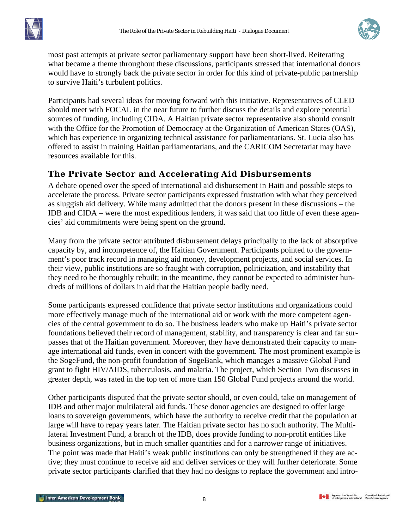<span id="page-9-0"></span>



most past attempts at private sector parliamentary support have been short-lived. Reiterating what became a theme throughout these discussions, participants stressed that international donors would have to strongly back the private sector in order for this kind of private-public partnership to survive Haiti's turbulent politics.

Participants had several ideas for moving forward with this initiative. Representatives of CLED should meet with FOCAL in the near future to further discuss the details and explore potential sources of funding, including CIDA. A Haitian private sector representative also should consult with the Office for the Promotion of Democracy at the Organization of American States (OAS), which has experience in organizing technical assistance for parliamentarians. St. Lucia also has offered to assist in training Haitian parliamentarians, and the CARICOM Secretariat may have resources available for this.

## **The Private Sector and Accelerating Aid Disbursements**

A debate opened over the speed of international aid disbursement in Haiti and possible steps to accelerate the process. Private sector participants expressed frustration with what they perceived as sluggish aid delivery. While many admitted that the donors present in these discussions – the IDB and CIDA – were the most expeditious lenders, it was said that too little of even these agencies' aid commitments were being spent on the ground.

Many from the private sector attributed disbursement delays principally to the lack of absorptive capacity by, and incompetence of, the Haitian Government. Participants pointed to the government's poor track record in managing aid money, development projects, and social services. In their view, public institutions are so fraught with corruption, politicization, and instability that they need to be thoroughly rebuilt; in the meantime, they cannot be expected to administer hundreds of millions of dollars in aid that the Haitian people badly need.

Some participants expressed confidence that private sector institutions and organizations could more effectively manage much of the international aid or work with the more competent agencies of the central government to do so. The business leaders who make up Haiti's private sector foundations believed their record of management, stability, and transparency is clear and far surpasses that of the Haitian government. Moreover, they have demonstrated their capacity to manage international aid funds, even in concert with the government. The most prominent example is the SogeFund, the non-profit foundation of SogeBank, which manages a massive Global Fund grant to fight HIV/AIDS, tuberculosis, and malaria. The project, which Section Two discusses in greater depth, was rated in the top ten of more than 150 Global Fund projects around the world.

Other participants disputed that the private sector should, or even could, take on management of IDB and other major multilateral aid funds. These donor agencies are designed to offer large loans to sovereign governments, which have the authority to receive credit that the population at large will have to repay years later. The Haitian private sector has no such authority. The Multilateral Investment Fund, a branch of the IDB, does provide funding to non-profit entities like business organizations, but in much smaller quantities and for a narrower range of initiatives. The point was made that Haiti's weak public institutions can only be strengthened if they are active; they must continue to receive aid and deliver services or they will further deteriorate. Some private sector participants clarified that they had no designs to replace the government and intro-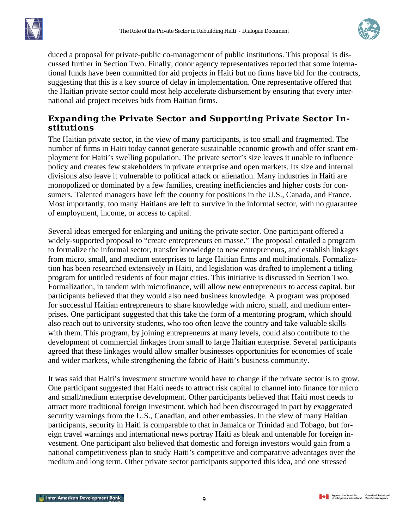<span id="page-10-0"></span>



duced a proposal for private-public co-management of public institutions. This proposal is discussed further in Section Two. Finally, donor agency representatives reported that some international funds have been committed for aid projects in Haiti but no firms have bid for the contracts, suggesting that this is a key source of delay in implementation. One representative offered that the Haitian private sector could most help accelerate disbursement by ensuring that every international aid project receives bids from Haitian firms.

### **Expanding the Private Sector and Supporting Private Sector Institutions**

The Haitian private sector, in the view of many participants, is too small and fragmented. The number of firms in Haiti today cannot generate sustainable economic growth and offer scant employment for Haiti's swelling population. The private sector's size leaves it unable to influence policy and creates few stakeholders in private enterprise and open markets. Its size and internal divisions also leave it vulnerable to political attack or alienation. Many industries in Haiti are monopolized or dominated by a few families, creating inefficiencies and higher costs for consumers. Talented managers have left the country for positions in the U.S., Canada, and France. Most importantly, too many Haitians are left to survive in the informal sector, with no guarantee of employment, income, or access to capital.

Several ideas emerged for enlarging and uniting the private sector. One participant offered a widely-supported proposal to "create entrepreneurs en masse." The proposal entailed a program to formalize the informal sector, transfer knowledge to new entrepreneurs, and establish linkages from micro, small, and medium enterprises to large Haitian firms and multinationals. Formalization has been researched extensively in Haiti, and legislation was drafted to implement a titling program for untitled residents of four major cities. This initiative is discussed in Section Two. Formalization, in tandem with microfinance, will allow new entrepreneurs to access capital, but participants believed that they would also need business knowledge. A program was proposed for successful Haitian entrepreneurs to share knowledge with micro, small, and medium enterprises. One participant suggested that this take the form of a mentoring program, which should also reach out to university students, who too often leave the country and take valuable skills with them. This program, by joining entrepreneurs at many levels, could also contribute to the development of commercial linkages from small to large Haitian enterprise. Several participants agreed that these linkages would allow smaller businesses opportunities for economies of scale and wider markets, while strengthening the fabric of Haiti's business community.

It was said that Haiti's investment structure would have to change if the private sector is to grow. One participant suggested that Haiti needs to attract risk capital to channel into finance for micro and small/medium enterprise development. Other participants believed that Haiti most needs to attract more traditional foreign investment, which had been discouraged in part by exaggerated security warnings from the U.S., Canadian, and other embassies. In the view of many Haitian participants, security in Haiti is comparable to that in Jamaica or Trinidad and Tobago, but foreign travel warnings and international news portray Haiti as bleak and untenable for foreign investment. One participant also believed that domestic and foreign investors would gain from a national competitiveness plan to study Haiti's competitive and comparative advantages over the medium and long term. Other private sector participants supported this idea, and one stressed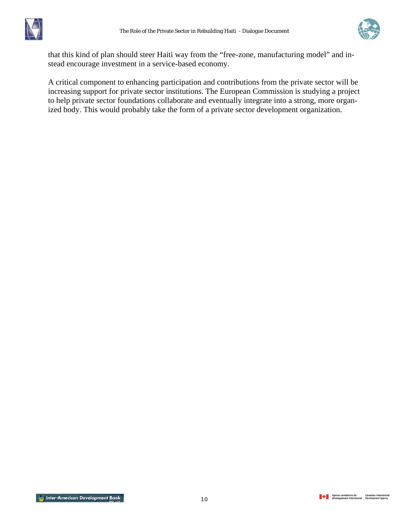



that this kind of plan should steer Haiti way from the "free-zone, manufacturing model" and instead encourage investment in a service-based economy.

A critical component to enhancing participation and contributions from the private sector will be increasing support for private sector institutions. The European Commission is studying a project to help private sector foundations collaborate and eventually integrate into a strong, more organized body. This would probably take the form of a private sector development organization.

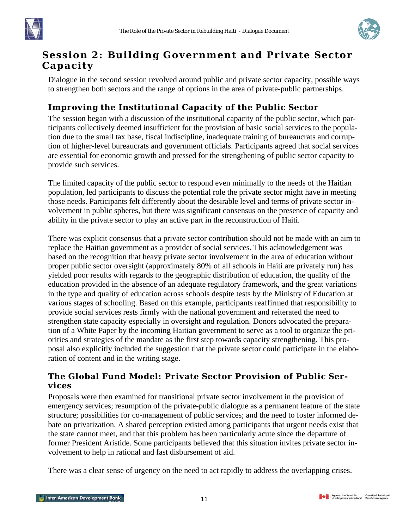<span id="page-12-0"></span>



# **Session 2: Building Government and Private Sector Capacity**

Dialogue in the second session revolved around public and private sector capacity, possible ways to strengthen both sectors and the range of options in the area of private-public partnerships.

## **Improving the Institutional Capacity of the Public Sector**

The session began with a discussion of the institutional capacity of the public sector, which participants collectively deemed insufficient for the provision of basic social services to the population due to the small tax base, fiscal indiscipline, inadequate training of bureaucrats and corruption of higher-level bureaucrats and government officials. Participants agreed that social services are essential for economic growth and pressed for the strengthening of public sector capacity to provide such services.

The limited capacity of the public sector to respond even minimally to the needs of the Haitian population, led participants to discuss the potential role the private sector might have in meeting those needs. Participants felt differently about the desirable level and terms of private sector involvement in public spheres, but there was significant consensus on the presence of capacity and ability in the private sector to play an active part in the reconstruction of Haiti.

There was explicit consensus that a private sector contribution should not be made with an aim to replace the Haitian government as a provider of social services. This acknowledgement was based on the recognition that heavy private sector involvement in the area of education without proper public sector oversight (approximately 80% of all schools in Haiti are privately run) has yielded poor results with regards to the geographic distribution of education, the quality of the education provided in the absence of an adequate regulatory framework, and the great variations in the type and quality of education across schools despite tests by the Ministry of Education at various stages of schooling. Based on this example, participants reaffirmed that responsibility to provide social services rests firmly with the national government and reiterated the need to strengthen state capacity especially in oversight and regulation. Donors advocated the preparation of a White Paper by the incoming Haitian government to serve as a tool to organize the priorities and strategies of the mandate as the first step towards capacity strengthening. This proposal also explicitly included the suggestion that the private sector could participate in the elaboration of content and in the writing stage.

### **The Global Fund Model: Private Sector Provision of Public Services**

Proposals were then examined for transitional private sector involvement in the provision of emergency services; resumption of the private-public dialogue as a permanent feature of the state structure; possibilities for co-management of public services; and the need to foster informed debate on privatization. A shared perception existed among participants that urgent needs exist that the state cannot meet, and that this problem has been particularly acute since the departure of former President Aristide. Some participants believed that this situation invites private sector involvement to help in rational and fast disbursement of aid.

There was a clear sense of urgency on the need to act rapidly to address the overlapping crises.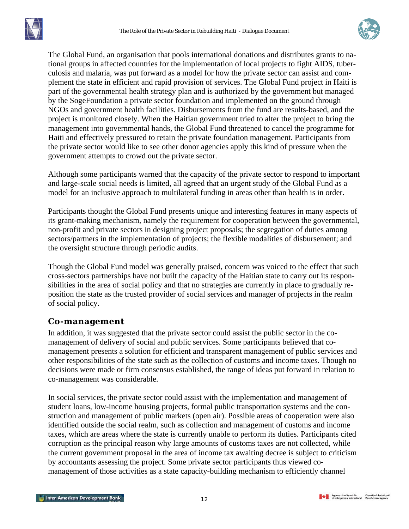<span id="page-13-0"></span>



The Global Fund, an organisation that pools international donations and distributes grants to national groups in affected countries for the implementation of local projects to fight AIDS, tuberculosis and malaria, was put forward as a model for how the private sector can assist and complement the state in efficient and rapid provision of services. The Global Fund project in Haiti is part of the governmental health strategy plan and is authorized by the government but managed by the SogeFoundation a private sector foundation and implemented on the ground through NGOs and government health facilities. Disbursements from the fund are results-based, and the project is monitored closely. When the Haitian government tried to alter the project to bring the management into governmental hands, the Global Fund threatened to cancel the programme for Haiti and effectively pressured to retain the private foundation management. Participants from the private sector would like to see other donor agencies apply this kind of pressure when the government attempts to crowd out the private sector.

Although some participants warned that the capacity of the private sector to respond to important and large-scale social needs is limited, all agreed that an urgent study of the Global Fund as a model for an inclusive approach to multilateral funding in areas other than health is in order.

Participants thought the Global Fund presents unique and interesting features in many aspects of its grant-making mechanism, namely the requirement for cooperation between the governmental, non-profit and private sectors in designing project proposals; the segregation of duties among sectors/partners in the implementation of projects; the flexible modalities of disbursement; and the oversight structure through periodic audits.

Though the Global Fund model was generally praised, concern was voiced to the effect that such cross-sectors partnerships have not built the capacity of the Haitian state to carry out its responsibilities in the area of social policy and that no strategies are currently in place to gradually reposition the state as the trusted provider of social services and manager of projects in the realm of social policy.

#### **Co-management**

In addition, it was suggested that the private sector could assist the public sector in the comanagement of delivery of social and public services. Some participants believed that comanagement presents a solution for efficient and transparent management of public services and other responsibilities of the state such as the collection of customs and income taxes. Though no decisions were made or firm consensus established, the range of ideas put forward in relation to co-management was considerable.

In social services, the private sector could assist with the implementation and management of student loans, low-income housing projects, formal public transportation systems and the construction and management of public markets (open air). Possible areas of cooperation were also identified outside the social realm, such as collection and management of customs and income taxes, which are areas where the state is currently unable to perform its duties. Participants cited corruption as the principal reason why large amounts of customs taxes are not collected, while the current government proposal in the area of income tax awaiting decree is subject to criticism by accountants assessing the project. Some private sector participants thus viewed comanagement of those activities as a state capacity-building mechanism to efficiently channel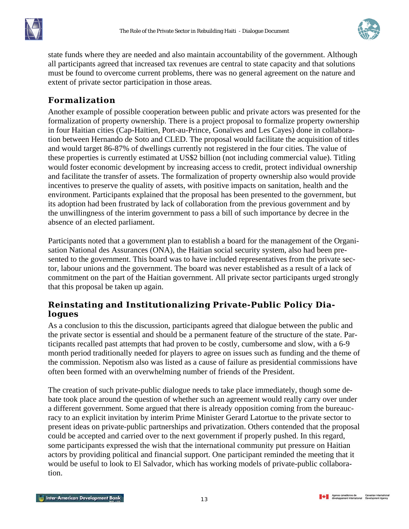<span id="page-14-0"></span>



state funds where they are needed and also maintain accountability of the government. Although all participants agreed that increased tax revenues are central to state capacity and that solutions must be found to overcome current problems, there was no general agreement on the nature and extent of private sector participation in those areas.

## **Formalization**

Another example of possible cooperation between public and private actors was presented for the formalization of property ownership. There is a project proposal to formalize property ownership in four Haitian cities (Cap-Haïtien, Port-au-Prince, Gonaïves and Les Cayes) done in collaboration between Hernando de Soto and CLED. The proposal would facilitate the acquisition of titles and would target 86-87% of dwellings currently not registered in the four cities. The value of these properties is currently estimated at US\$2 billion (not including commercial value). Titling would foster economic development by increasing access to credit, protect individual ownership and facilitate the transfer of assets. The formalization of property ownership also would provide incentives to preserve the quality of assets, with positive impacts on sanitation, health and the environment. Participants explained that the proposal has been presented to the government, but its adoption had been frustrated by lack of collaboration from the previous government and by the unwillingness of the interim government to pass a bill of such importance by decree in the absence of an elected parliament.

Participants noted that a government plan to establish a board for the management of the Organisation National des Assurances (ONA), the Haitian social security system, also had been presented to the government. This board was to have included representatives from the private sector, labour unions and the government. The board was never established as a result of a lack of commitment on the part of the Haitian government. All private sector participants urged strongly that this proposal be taken up again.

#### **Reinstating and Institutionalizing Private-Public Policy Dialogues**

As a conclusion to this the discussion, participants agreed that dialogue between the public and the private sector is essential and should be a permanent feature of the structure of the state. Participants recalled past attempts that had proven to be costly, cumbersome and slow, with a 6-9 month period traditionally needed for players to agree on issues such as funding and the theme of the commission. Nepotism also was listed as a cause of failure as presidential commissions have often been formed with an overwhelming number of friends of the President.

The creation of such private-public dialogue needs to take place immediately, though some debate took place around the question of whether such an agreement would really carry over under a different government. Some argued that there is already opposition coming from the bureaucracy to an explicit invitation by interim Prime Minister Gerard Latortue to the private sector to present ideas on private-public partnerships and privatization. Others contended that the proposal could be accepted and carried over to the next government if properly pushed. In this regard, some participants expressed the wish that the international community put pressure on Haitian actors by providing political and financial support. One participant reminded the meeting that it would be useful to look to El Salvador, which has working models of private-public collaboration.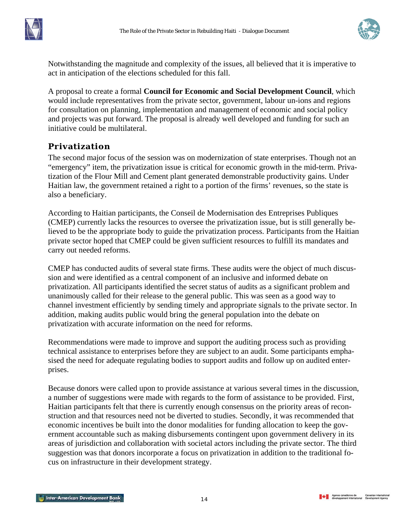<span id="page-15-0"></span>



Notwithstanding the magnitude and complexity of the issues, all believed that it is imperative to act in anticipation of the elections scheduled for this fall.

A proposal to create a formal **Council for Economic and Social Development Council**, which would include representatives from the private sector, government, labour un-ions and regions for consultation on planning, implementation and management of economic and social policy and projects was put forward. The proposal is already well developed and funding for such an initiative could be multilateral.

### **Privatization**

The second major focus of the session was on modernization of state enterprises. Though not an "emergency" item, the privatization issue is critical for economic growth in the mid**-**term. Privatization of the Flour Mill and Cement plant generated demonstrable productivity gains. Under Haitian law, the government retained a right to a portion of the firms' revenues, so the state is also a beneficiary.

According to Haitian participants, the Conseil de Modernisation des Entreprises Publiques (CMEP) currently lacks the resources to oversee the privatization issue, but is still generally believed to be the appropriate body to guide the privatization process. Participants from the Haitian private sector hoped that CMEP could be given sufficient resources to fulfill its mandates and carry out needed reforms.

CMEP has conducted audits of several state firms. These audits were the object of much discussion and were identified as a central component of an inclusive and informed debate on privatization. All participants identified the secret status of audits as a significant problem and unanimously called for their release to the general public. This was seen as a good way to channel investment efficiently by sending timely and appropriate signals to the private sector. In addition, making audits public would bring the general population into the debate on privatization with accurate information on the need for reforms.

Recommendations were made to improve and support the auditing process such as providing technical assistance to enterprises before they are subject to an audit. Some participants emphasised the need for adequate regulating bodies to support audits and follow up on audited enterprises.

Because donors were called upon to provide assistance at various several times in the discussion, a number of suggestions were made with regards to the form of assistance to be provided. First, Haitian participants felt that there is currently enough consensus on the priority areas of reconstruction and that resources need not be diverted to studies. Secondly, it was recommended that economic incentives be built into the donor modalities for funding allocation to keep the government accountable such as making disbursements contingent upon government delivery in its areas of jurisdiction and collaboration with societal actors including the private sector. The third suggestion was that donors incorporate a focus on privatization in addition to the traditional focus on infrastructure in their development strategy.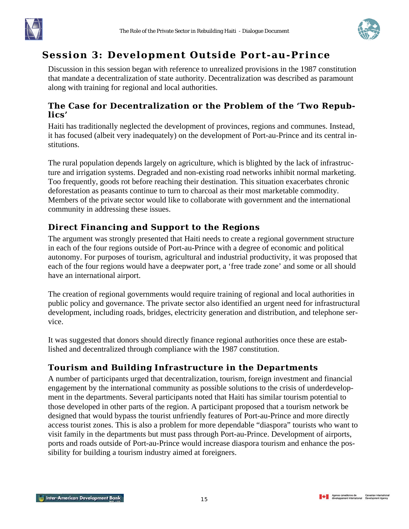<span id="page-16-0"></span>



## **Session 3: Development Outside Port-au-Prince**

Discussion in this session began with reference to unrealized provisions in the 1987 constitution that mandate a decentralization of state authority. Decentralization was described as paramount along with training for regional and local authorities.

#### **The Case for Decentralization or the Problem of the 'Two Republics'**

Haiti has traditionally neglected the development of provinces, regions and communes. Instead, it has focused (albeit very inadequately) on the development of Port-au-Prince and its central institutions.

The rural population depends largely on agriculture, which is blighted by the lack of infrastructure and irrigation systems. Degraded and non-existing road networks inhibit normal marketing. Too frequently, goods rot before reaching their destination. This situation exacerbates chronic deforestation as peasants continue to turn to charcoal as their most marketable commodity. Members of the private sector would like to collaborate with government and the international community in addressing these issues.

## **Direct Financing and Support to the Regions**

The argument was strongly presented that Haiti needs to create a regional government structure in each of the four regions outside of Port-au-Prince with a degree of economic and political autonomy. For purposes of tourism, agricultural and industrial productivity, it was proposed that each of the four regions would have a deepwater port, a 'free trade zone' and some or all should have an international airport.

The creation of regional governments would require training of regional and local authorities in public policy and governance. The private sector also identified an urgent need for infrastructural development, including roads, bridges, electricity generation and distribution, and telephone service.

It was suggested that donors should directly finance regional authorities once these are established and decentralized through compliance with the 1987 constitution.

## **Tourism and Building Infrastructure in the Departments**

A number of participants urged that decentralization, tourism, foreign investment and financial engagement by the international community as possible solutions to the crisis of underdevelopment in the departments. Several participants noted that Haiti has similar tourism potential to those developed in other parts of the region. A participant proposed that a tourism network be designed that would bypass the tourist unfriendly features of Port-au-Prince and more directly access tourist zones. This is also a problem for more dependable "diaspora" tourists who want to visit family in the departments but must pass through Port-au-Prince. Development of airports, ports and roads outside of Port-au-Prince would increase diaspora tourism and enhance the possibility for building a tourism industry aimed at foreigners.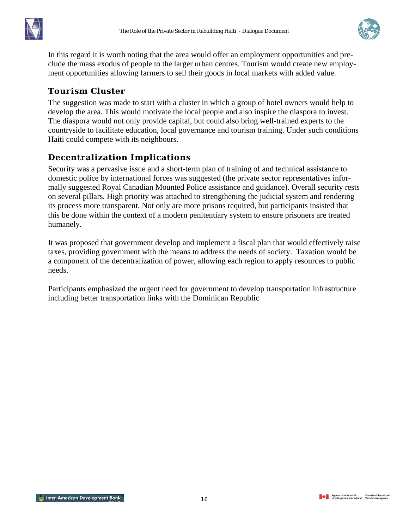<span id="page-17-0"></span>



In this regard it is worth noting that the area would offer an employment opportunities and preclude the mass exodus of people to the larger urban centres. Tourism would create new employment opportunities allowing farmers to sell their goods in local markets with added value.

## **Tourism Cluster**

The suggestion was made to start with a cluster in which a group of hotel owners would help to develop the area. This would motivate the local people and also inspire the diaspora to invest. The diaspora would not only provide capital, but could also bring well-trained experts to the countryside to facilitate education, local governance and tourism training. Under such conditions Haiti could compete with its neighbours.

## **Decentralization Implications**

Security was a pervasive issue and a short-term plan of training of and technical assistance to domestic police by international forces was suggested (the private sector representatives informally suggested Royal Canadian Mounted Police assistance and guidance). Overall security rests on several pillars. High priority was attached to strengthening the judicial system and rendering its process more transparent. Not only are more prisons required, but participants insisted that this be done within the context of a modern penitentiary system to ensure prisoners are treated humanely.

It was proposed that government develop and implement a fiscal plan that would effectively raise taxes, providing government with the means to address the needs of society. Taxation would be a component of the decentralization of power, allowing each region to apply resources to public needs.

Participants emphasized the urgent need for government to develop transportation infrastructure including better transportation links with the Dominican Republic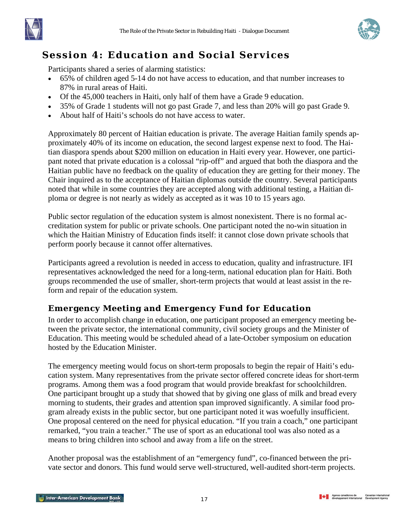<span id="page-18-0"></span>



# **Session 4: Education and Social Services**

Participants shared a series of alarming statistics:

- 65% of children aged 5-14 do not have access to education, and that number increases to 87% in rural areas of Haiti.
- Of the 45,000 teachers in Haiti, only half of them have a Grade 9 education.
- 35% of Grade 1 students will not go past Grade 7, and less than 20% will go past Grade 9.
- About half of Haiti's schools do not have access to water.

Approximately 80 percent of Haitian education is private. The average Haitian family spends approximately 40% of its income on education, the second largest expense next to food. The Haitian diaspora spends about \$200 million on education in Haiti every year. However, one participant noted that private education is a colossal "rip-off" and argued that both the diaspora and the Haitian public have no feedback on the quality of education they are getting for their money. The Chair inquired as to the acceptance of Haitian diplomas outside the country. Several participants noted that while in some countries they are accepted along with additional testing, a Haitian diploma or degree is not nearly as widely as accepted as it was 10 to 15 years ago.

Public sector regulation of the education system is almost nonexistent. There is no formal accreditation system for public or private schools. One participant noted the no-win situation in which the Haitian Ministry of Education finds itself: it cannot close down private schools that perform poorly because it cannot offer alternatives.

Participants agreed a revolution is needed in access to education, quality and infrastructure. IFI representatives acknowledged the need for a long-term, national education plan for Haiti. Both groups recommended the use of smaller, short-term projects that would at least assist in the reform and repair of the education system.

## **Emergency Meeting and Emergency Fund for Education**

In order to accomplish change in education, one participant proposed an emergency meeting between the private sector, the international community, civil society groups and the Minister of Education. This meeting would be scheduled ahead of a late-October symposium on education hosted by the Education Minister.

The emergency meeting would focus on short-term proposals to begin the repair of Haiti's education system. Many representatives from the private sector offered concrete ideas for short-term programs. Among them was a food program that would provide breakfast for schoolchildren. One participant brought up a study that showed that by giving one glass of milk and bread every morning to students, their grades and attention span improved significantly. A similar food program already exists in the public sector, but one participant noted it was woefully insufficient. One proposal centered on the need for physical education. "If you train a coach," one participant remarked, "you train a teacher." The use of sport as an educational tool was also noted as a means to bring children into school and away from a life on the street.

Another proposal was the establishment of an "emergency fund", co-financed between the private sector and donors. This fund would serve well-structured, well-audited short-term projects.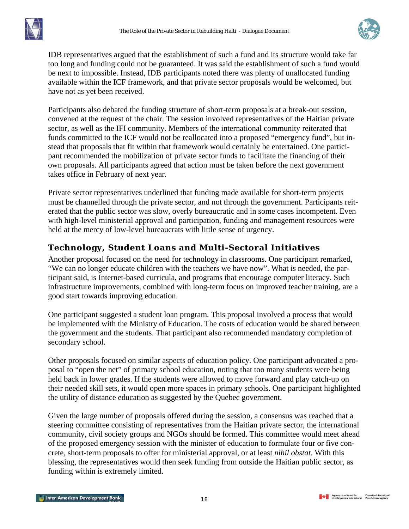<span id="page-19-0"></span>



IDB representatives argued that the establishment of such a fund and its structure would take far too long and funding could not be guaranteed. It was said the establishment of such a fund would be next to impossible. Instead, IDB participants noted there was plenty of unallocated funding available within the ICF framework, and that private sector proposals would be welcomed, but have not as yet been received.

Participants also debated the funding structure of short-term proposals at a break-out session, convened at the request of the chair. The session involved representatives of the Haitian private sector, as well as the IFI community. Members of the international community reiterated that funds committed to the ICF would not be reallocated into a proposed "emergency fund", but instead that proposals that fit within that framework would certainly be entertained. One participant recommended the mobilization of private sector funds to facilitate the financing of their own proposals. All participants agreed that action must be taken before the next government takes office in February of next year.

Private sector representatives underlined that funding made available for short-term projects must be channelled through the private sector, and not through the government. Participants reiterated that the public sector was slow, overly bureaucratic and in some cases incompetent. Even with high-level ministerial approval and participation, funding and management resources were held at the mercy of low-level bureaucrats with little sense of urgency.

## **Technology, Student Loans and Multi-Sectoral Initiatives**

Another proposal focused on the need for technology in classrooms. One participant remarked, "We can no longer educate children with the teachers we have now". What is needed, the participant said, is Internet-based curricula, and programs that encourage computer literacy. Such infrastructure improvements, combined with long-term focus on improved teacher training, are a good start towards improving education.

One participant suggested a student loan program. This proposal involved a process that would be implemented with the Ministry of Education. The costs of education would be shared between the government and the students. That participant also recommended mandatory completion of secondary school.

Other proposals focused on similar aspects of education policy. One participant advocated a proposal to "open the net" of primary school education, noting that too many students were being held back in lower grades. If the students were allowed to move forward and play catch-up on their needed skill sets, it would open more spaces in primary schools. One participant highlighted the utility of distance education as suggested by the Quebec government.

Given the large number of proposals offered during the session, a consensus was reached that a steering committee consisting of representatives from the Haitian private sector, the international community, civil society groups and NGOs should be formed. This committee would meet ahead of the proposed emergency session with the minister of education to formulate four or five concrete, short-term proposals to offer for ministerial approval, or at least *nihil obstat*. With this blessing, the representatives would then seek funding from outside the Haitian public sector, as funding within is extremely limited.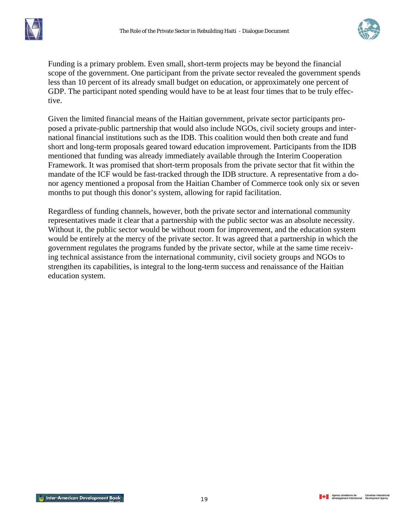



Funding is a primary problem. Even small, short-term projects may be beyond the financial scope of the government. One participant from the private sector revealed the government spends less than 10 percent of its already small budget on education, or approximately one percent of GDP. The participant noted spending would have to be at least four times that to be truly effective.

Given the limited financial means of the Haitian government, private sector participants proposed a private-public partnership that would also include NGOs, civil society groups and international financial institutions such as the IDB. This coalition would then both create and fund short and long-term proposals geared toward education improvement. Participants from the IDB mentioned that funding was already immediately available through the Interim Cooperation Framework. It was promised that short-term proposals from the private sector that fit within the mandate of the ICF would be fast-tracked through the IDB structure. A representative from a donor agency mentioned a proposal from the Haitian Chamber of Commerce took only six or seven months to put though this donor's system, allowing for rapid facilitation.

Regardless of funding channels, however, both the private sector and international community representatives made it clear that a partnership with the public sector was an absolute necessity. Without it, the public sector would be without room for improvement, and the education system would be entirely at the mercy of the private sector. It was agreed that a partnership in which the government regulates the programs funded by the private sector, while at the same time receiving technical assistance from the international community, civil society groups and NGOs to strengthen its capabilities, is integral to the long-term success and renaissance of the Haitian education system.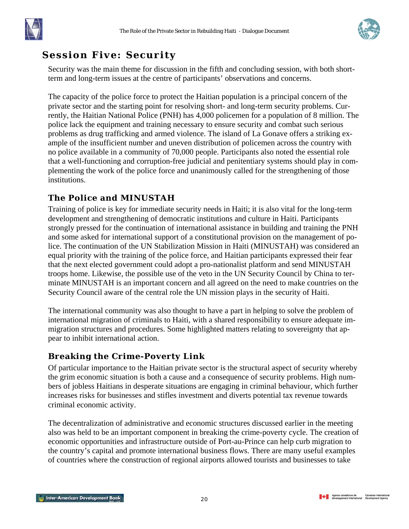<span id="page-21-0"></span>



## **Session Five: Security**

Security was the main theme for discussion in the fifth and concluding session, with both shortterm and long-term issues at the centre of participants' observations and concerns.

The capacity of the police force to protect the Haitian population is a principal concern of the private sector and the starting point for resolving short- and long-term security problems. Currently, the Haitian National Police (PNH) has 4,000 policemen for a population of 8 million. The police lack the equipment and training necessary to ensure security and combat such serious problems as drug trafficking and armed violence. The island of La Gonave offers a striking example of the insufficient number and uneven distribution of policemen across the country with no police available in a community of 70,000 people. Participants also noted the essential role that a well-functioning and corruption-free judicial and penitentiary systems should play in complementing the work of the police force and unanimously called for the strengthening of those institutions.

## **The Police and MINUSTAH**

Training of police is key for immediate security needs in Haiti; it is also vital for the long-term development and strengthening of democratic institutions and culture in Haiti. Participants strongly pressed for the continuation of international assistance in building and training the PNH and some asked for international support of a constitutional provision on the management of police. The continuation of the UN Stabilization Mission in Haiti (MINUSTAH) was considered an equal priority with the training of the police force, and Haitian participants expressed their fear that the next elected government could adopt a pro-nationalist platform and send MINUSTAH troops home. Likewise, the possible use of the veto in the UN Security Council by China to terminate MINUSTAH is an important concern and all agreed on the need to make countries on the Security Council aware of the central role the UN mission plays in the security of Haiti.

The international community was also thought to have a part in helping to solve the problem of international migration of criminals to Haiti, with a shared responsibility to ensure adequate immigration structures and procedures. Some highlighted matters relating to sovereignty that appear to inhibit international action.

## **Breaking the Crime-Poverty Link**

Of particular importance to the Haitian private sector is the structural aspect of security whereby the grim economic situation is both a cause and a consequence of security problems. High numbers of jobless Haitians in desperate situations are engaging in criminal behaviour, which further increases risks for businesses and stifles investment and diverts potential tax revenue towards criminal economic activity.

The decentralization of administrative and economic structures discussed earlier in the meeting also was held to be an important component in breaking the crime-poverty cycle. The creation of economic opportunities and infrastructure outside of Port-au-Prince can help curb migration to the country's capital and promote international business flows. There are many useful examples of countries where the construction of regional airports allowed tourists and businesses to take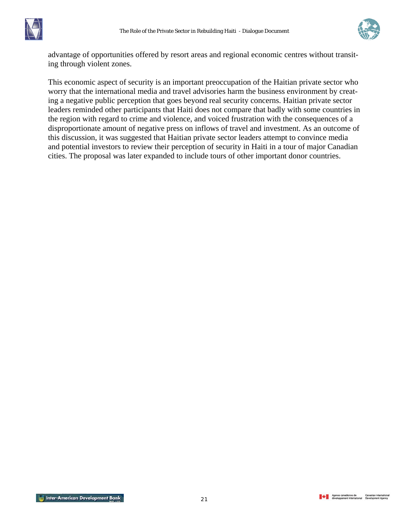



advantage of opportunities offered by resort areas and regional economic centres without transiting through violent zones.

This economic aspect of security is an important preoccupation of the Haitian private sector who worry that the international media and travel advisories harm the business environment by creating a negative public perception that goes beyond real security concerns. Haitian private sector leaders reminded other participants that Haiti does not compare that badly with some countries in the region with regard to crime and violence, and voiced frustration with the consequences of a disproportionate amount of negative press on inflows of travel and investment. As an outcome of this discussion, it was suggested that Haitian private sector leaders attempt to convince media and potential investors to review their perception of security in Haiti in a tour of major Canadian cities. The proposal was later expanded to include tours of other important donor countries.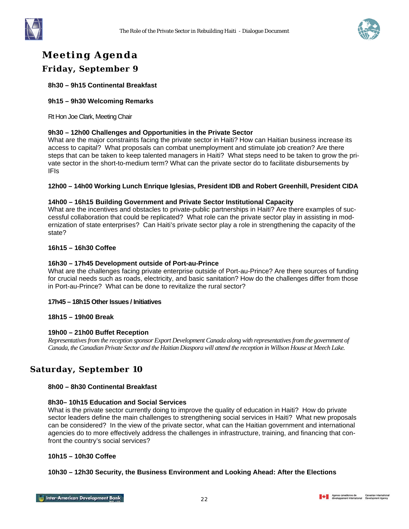<span id="page-23-0"></span>



# **Meeting Agenda**

#### **Friday, September 9**

**8h30 – 9h15 Continental Breakfast** 

#### **9h15 – 9h30 Welcoming Remarks**

Rt Hon Joe Clark, Meeting Chair

#### **9h30 – 12h00 Challenges and Opportunities in the Private Sector**

What are the major constraints facing the private sector in Haiti? How can Haitian business increase its access to capital? What proposals can combat unemployment and stimulate job creation? Are there steps that can be taken to keep talented managers in Haiti? What steps need to be taken to grow the private sector in the short-to-medium term? What can the private sector do to facilitate disbursements by IFIs

#### **12h00 – 14h00 Working Lunch Enrique Iglesias, President IDB and Robert Greenhill, President CIDA**

#### **14h00 – 16h15 Building Government and Private Sector Institutional Capacity**

What are the incentives and obstacles to private-public partnerships in Haiti? Are there examples of successful collaboration that could be replicated? What role can the private sector play in assisting in modernization of state enterprises? Can Haiti's private sector play a role in strengthening the capacity of the state?

#### **16h15 – 16h30 Coffee**

#### **16h30 – 17h45 Development outside of Port-au-Prince**

What are the challenges facing private enterprise outside of Port-au-Prince? Are there sources of funding for crucial needs such as roads, electricity, and basic sanitation? How do the challenges differ from those in Port-au-Prince? What can be done to revitalize the rural sector?

#### **17h45 – 18h15 Other Issues / Initiatives**

#### **18h15 – 19h00 Break**

#### **19h00 – 21h00 Buffet Reception**

*Representatives from the reception sponsor Export Development Canada along with representatives from the government of Canada, the Canadian Private Sector and the Haitian Diaspora will attend the reception in Willson House at Meech Lake.*

#### **Saturday, September 10**

#### **8h00 – 8h30 Continental Breakfast**

#### **8h30– 10h15 Education and Social Services**

What is the private sector currently doing to improve the quality of education in Haiti? How do private sector leaders define the main challenges to strengthening social services in Haiti? What new proposals can be considered? In the view of the private sector, what can the Haitian government and international agencies do to more effectively address the challenges in infrastructure, training, and financing that confront the country's social services?

#### **10h15 – 10h30 Coffee**

#### **10h30 – 12h30 Security, the Business Environment and Looking Ahead: After the Elections**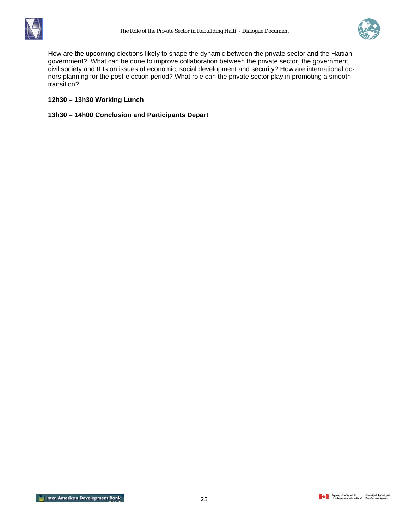



How are the upcoming elections likely to shape the dynamic between the private sector and the Haitian government? What can be done to improve collaboration between the private sector, the government, civil society and IFIs on issues of economic, social development and security? How are international donors planning for the post-election period? What role can the private sector play in promoting a smooth transition?

#### **12h30 – 13h30 Working Lunch**

**13h30 – 14h00 Conclusion and Participants Depart**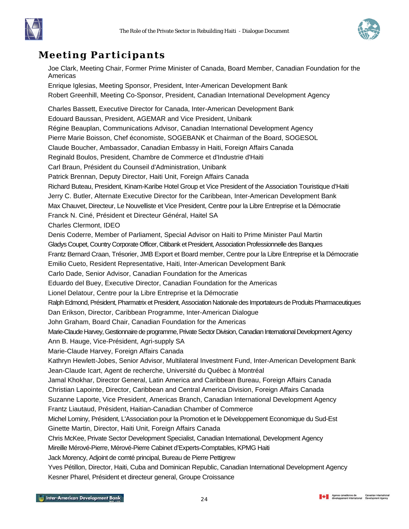



# <span id="page-25-0"></span>**Meeting Participants**

Joe Clark, Meeting Chair, Former Prime Minister of Canada, Board Member, Canadian Foundation for the Americas Enrique Iglesias, Meeting Sponsor, President, Inter-American Development Bank Robert Greenhill, Meeting Co-Sponsor, President, Canadian International Development Agency Charles Bassett, Executive Director for Canada, Inter-American Development Bank Edouard Baussan, President, AGEMAR and Vice President, Unibank Régine Beauplan, Communications Advisor, Canadian International Development Agency Pierre Marie Boisson, Chef économiste, SOGEBANK et Chairman of the Board, SOGESOL Claude Boucher, Ambassador, Canadian Embassy in Haiti, Foreign Affairs Canada Reginald Boulos, President, Chambre de Commerce et d'Industrie d'Haiti Carl Braun, Président du Counseil d'Administration, Unibank Patrick Brennan, Deputy Director, Haiti Unit, Foreign Affairs Canada Richard Buteau, President, Kinam-Karibe Hotel Group et Vice President of the Association Touristique d'Haiti Jerry C. Butler, Alternate Executive Director for the Caribbean, Inter-American Development Bank Max Chauvet, Directeur, Le Nouvelliste et Vice President, Centre pour la Libre Entreprise et la Démocratie Franck N. Ciné, Président et Directeur Général, Haitel SA Charles Clermont, IDEO Denis Coderre, Member of Parliament, Special Advisor on Haiti to Prime Minister Paul Martin Gladys Coupet, Country Corporate Officer, Citibank et President, Association Professionnelle des Banques Frantz Bernard Craan, Trésorier, JMB Export et Board member, Centre pour la Libre Entreprise et la Démocratie Emilio Cueto, Resident Representative, Haiti, Inter-American Development Bank Carlo Dade, Senior Advisor, Canadian Foundation for the Americas Eduardo del Buey, Executive Director, Canadian Foundation for the Americas Lionel Delatour, Centre pour la Libre Entreprise et la Démocratie Ralph Edmond, Président, Pharmatrix et President, Association Nationale des Importateurs de Produits Pharmaceutiques Dan Erikson, Director, Caribbean Programme, Inter-American Dialogue John Graham, Board Chair, Canadian Foundation for the Americas Marie-Claude Harvey, Gestionnaire de programme, Private Sector Division, Canadian International Development Agency Ann B. Hauge, Vice-Président, Agri-supply SA Marie-Claude Harvey, Foreign Affairs Canada Kathryn Hewlett-Jobes, Senior Advisor, Multilateral Investment Fund, Inter-American Development Bank Jean-Claude Icart, Agent de recherche, Université du Québec à Montréal Jamal Khokhar, Director General, Latin America and Caribbean Bureau, Foreign Affairs Canada Christian Lapointe, Director, Caribbean and Central America Division, Foreign Affairs Canada Suzanne Laporte, Vice President, Americas Branch, Canadian International Development Agency Frantz Liautaud, Président, Haitian-Canadian Chamber of Commerce Michel Lominy, Président, L'Association pour la Promotion et le Développement Economique du Sud-Est Ginette Martin, Director, Haiti Unit, Foreign Affairs Canada Chris McKee, Private Sector Development Specialist, Canadian International, Development Agency Mireille Mérové-Pierre, Mérové-Pierre Cabinet d'Experts-Comptables, KPMG Haiti Jack Morency, Adjoint de comté principal, Bureau de Pierre Pettigrew Yves Pétillon, Director, Haiti, Cuba and Dominican Republic, Canadian International Development Agency Kesner Pharel, Président et directeur general, Groupe Croissance